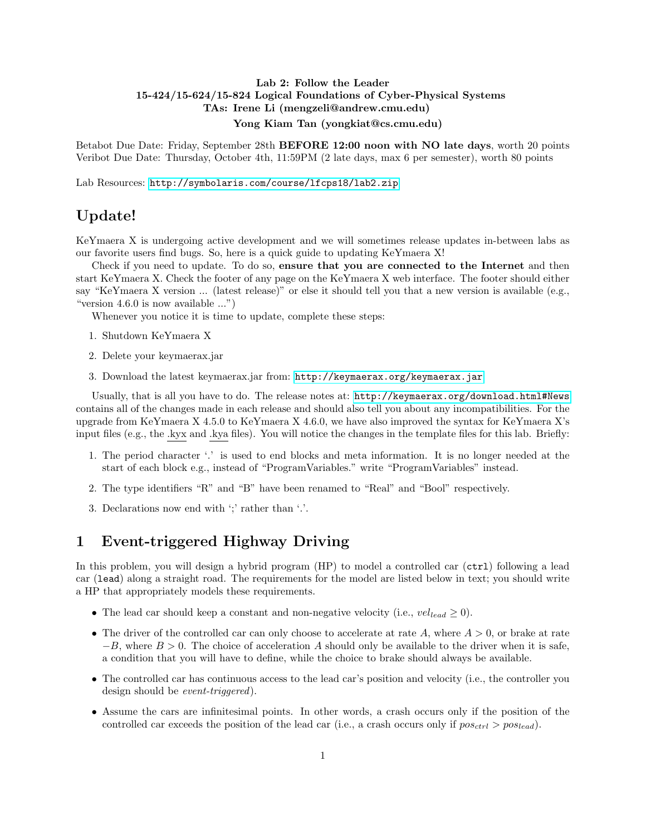#### Lab 2: Follow the Leader 15-424/15-624/15-824 Logical Foundations of Cyber-Physical Systems TAs: Irene Li (mengzeli@andrew.cmu.edu) Yong Kiam Tan (yongkiat@cs.cmu.edu)

Betabot Due Date: Friday, September 28th BEFORE 12:00 noon with NO late days, worth 20 points Veribot Due Date: Thursday, October 4th, 11:59PM (2 late days, max 6 per semester), worth 80 points

Lab Resources: <http://symbolaris.com/course/lfcps18/lab2.zip>

### Update!

KeYmaera X is undergoing active development and we will sometimes release updates in-between labs as our favorite users find bugs. So, here is a quick guide to updating KeYmaera X!

Check if you need to update. To do so, ensure that you are connected to the Internet and then start KeYmaera X. Check the footer of any page on the KeYmaera X web interface. The footer should either say "KeYmaera X version ... (latest release)" or else it should tell you that a new version is available (e.g., "version 4.6.0 is now available ...")

Whenever you notice it is time to update, complete these steps:

- 1. Shutdown KeYmaera X
- 2. Delete your keymaerax.jar
- 3. Download the latest keymaerax.jar from: <http://keymaerax.org/keymaerax.jar>

Usually, that is all you have to do. The release notes at: <http://keymaerax.org/download.html#News> contains all of the changes made in each release and should also tell you about any incompatibilities. For the upgrade from KeYmaera X 4.5.0 to KeYmaera X 4.6.0, we have also improved the syntax for KeYmaera X's input files (e.g., the .kyx and .kya files). You will notice the changes in the template files for this lab. Briefly:

- 1. The period character '.' is used to end blocks and meta information. It is no longer needed at the start of each block e.g., instead of "ProgramVariables." write "ProgramVariables" instead.
- 2. The type identifiers "R" and "B" have been renamed to "Real" and "Bool" respectively.
- 3. Declarations now end with ';' rather than '.'.

## 1 Event-triggered Highway Driving

In this problem, you will design a hybrid program (HP) to model a controlled car (ctrl) following a lead car (lead) along a straight road. The requirements for the model are listed below in text; you should write a HP that appropriately models these requirements.

- The lead car should keep a constant and non-negative velocity (i.e.,  $vel_{lead} \ge 0$ ).
- The driver of the controlled car can only choose to accelerate at rate A, where  $A > 0$ , or brake at rate  $-B$ , where  $B > 0$ . The choice of acceleration A should only be available to the driver when it is safe, a condition that you will have to define, while the choice to brake should always be available.
- The controlled car has continuous access to the lead car's position and velocity (i.e., the controller you design should be *event-triggered*).
- Assume the cars are infinitesimal points. In other words, a crash occurs only if the position of the controlled car exceeds the position of the lead car (i.e., a crash occurs only if  $pos_{ctrl} > pos_{lead}$ ).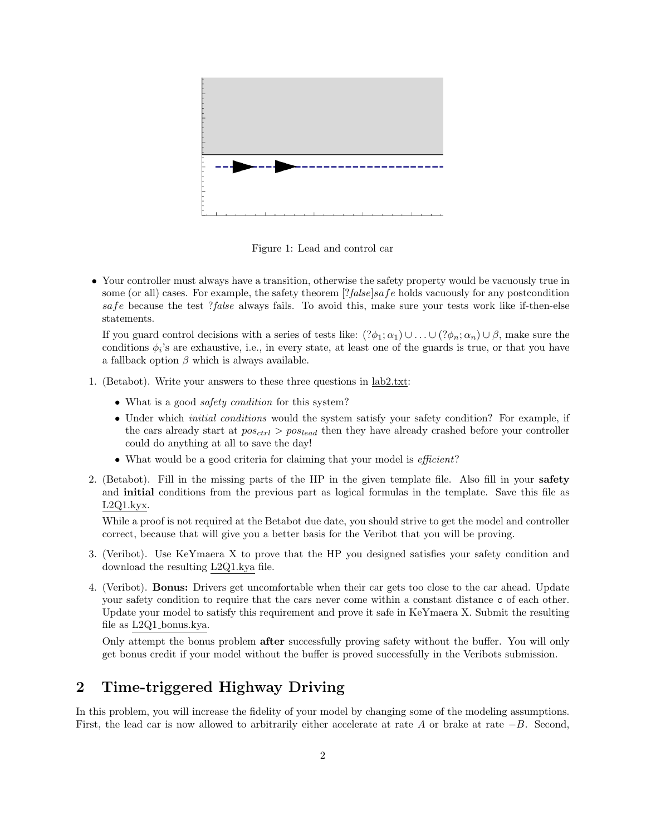

Figure 1: Lead and control car

• Your controller must always have a transition, otherwise the safety property would be vacuously true in some (or all) cases. For example, the safety theorem  $[?false]safe$  holds vacuously for any postcondition safe because the test ?false always fails. To avoid this, make sure your tests work like if-then-else statements.

If you guard control decisions with a series of tests like:  $(?\phi_1; \alpha_1) \cup \ldots \cup (?\phi_n; \alpha_n) \cup \beta$ , make sure the conditions  $\phi_i$ 's are exhaustive, i.e., in every state, at least one of the guards is true, or that you have a fallback option  $\beta$  which is always available.

- 1. (Betabot). Write your answers to these three questions in lab2.txt:
	- What is a good *safety condition* for this system?
	- Under which *initial conditions* would the system satisfy your safety condition? For example, if the cars already start at  $pos_{ctrl} > pos_{lead}$  then they have already crashed before your controller could do anything at all to save the day!
	- What would be a good criteria for claiming that your model is *efficient*?
- 2. (Betabot). Fill in the missing parts of the HP in the given template file. Also fill in your safety and initial conditions from the previous part as logical formulas in the template. Save this file as L2Q1.kyx.

While a proof is not required at the Betabot due date, you should strive to get the model and controller correct, because that will give you a better basis for the Veribot that you will be proving.

- 3. (Veribot). Use KeYmaera X to prove that the HP you designed satisfies your safety condition and download the resulting L2Q1.kya file.
- 4. (Veribot). Bonus: Drivers get uncomfortable when their car gets too close to the car ahead. Update your safety condition to require that the cars never come within a constant distance c of each other. Update your model to satisfy this requirement and prove it safe in KeYmaera X. Submit the resulting file as L2Q1 bonus.kya.

Only attempt the bonus problem after successfully proving safety without the buffer. You will only get bonus credit if your model without the buffer is proved successfully in the Veribots submission.

# 2 Time-triggered Highway Driving

In this problem, you will increase the fidelity of your model by changing some of the modeling assumptions. First, the lead car is now allowed to arbitrarily either accelerate at rate A or brake at rate −B. Second,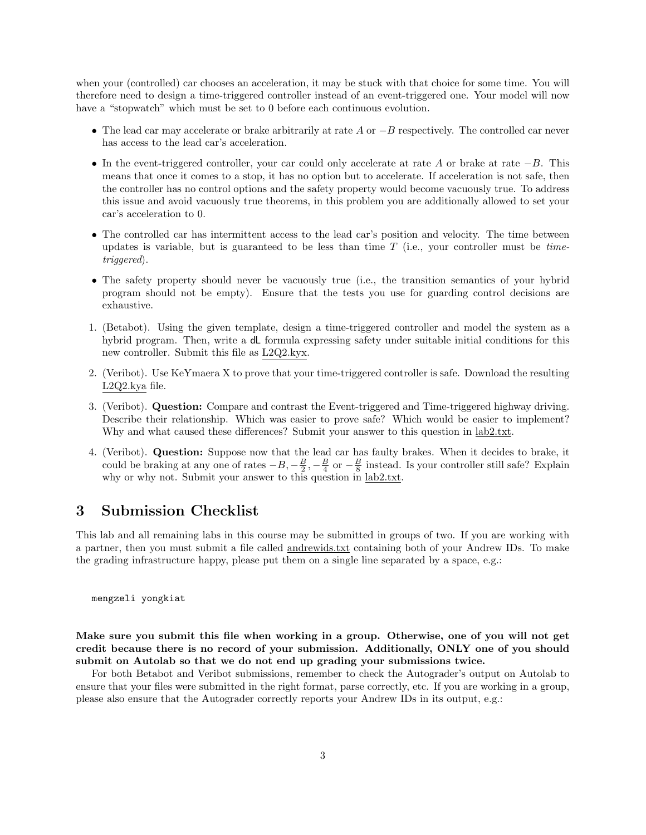when your (controlled) car chooses an acceleration, it may be stuck with that choice for some time. You will therefore need to design a time-triggered controller instead of an event-triggered one. Your model will now have a "stopwatch" which must be set to 0 before each continuous evolution.

- The lead car may accelerate or brake arbitrarily at rate A or  $-B$  respectively. The controlled car never has access to the lead car's acceleration.
- In the event-triggered controller, your car could only accelerate at rate A or brake at rate  $-B$ . This means that once it comes to a stop, it has no option but to accelerate. If acceleration is not safe, then the controller has no control options and the safety property would become vacuously true. To address this issue and avoid vacuously true theorems, in this problem you are additionally allowed to set your car's acceleration to 0.
- The controlled car has intermittent access to the lead car's position and velocity. The time between updates is variable, but is guaranteed to be less than time  $T$  (i.e., your controller must be timetriggered).
- The safety property should never be vacuously true (i.e., the transition semantics of your hybrid program should not be empty). Ensure that the tests you use for guarding control decisions are exhaustive.
- 1. (Betabot). Using the given template, design a time-triggered controller and model the system as a hybrid program. Then, write a dL formula expressing safety under suitable initial conditions for this new controller. Submit this file as L2Q2.kyx.
- 2. (Veribot). Use KeYmaera X to prove that your time-triggered controller is safe. Download the resulting L2Q2.kya file.
- 3. (Veribot). Question: Compare and contrast the Event-triggered and Time-triggered highway driving. Describe their relationship. Which was easier to prove safe? Which would be easier to implement? Why and what caused these differences? Submit your answer to this question in lab2.txt.
- 4. (Veribot). Question: Suppose now that the lead car has faulty brakes. When it decides to brake, it could be braking at any one of rates  $-B, -\frac{B}{2}, -\frac{B}{4}$  or  $-\frac{B}{8}$  instead. Is your controller still safe? Explain why or why not. Submit your answer to this question in lab2.txt.

#### 3 Submission Checklist

This lab and all remaining labs in this course may be submitted in groups of two. If you are working with a partner, then you must submit a file called andrewids.txt containing both of your Andrew IDs. To make the grading infrastructure happy, please put them on a single line separated by a space, e.g.:

mengzeli yongkiat

Make sure you submit this file when working in a group. Otherwise, one of you will not get credit because there is no record of your submission. Additionally, ONLY one of you should submit on Autolab so that we do not end up grading your submissions twice.

For both Betabot and Veribot submissions, remember to check the Autograder's output on Autolab to ensure that your files were submitted in the right format, parse correctly, etc. If you are working in a group, please also ensure that the Autograder correctly reports your Andrew IDs in its output, e.g.: